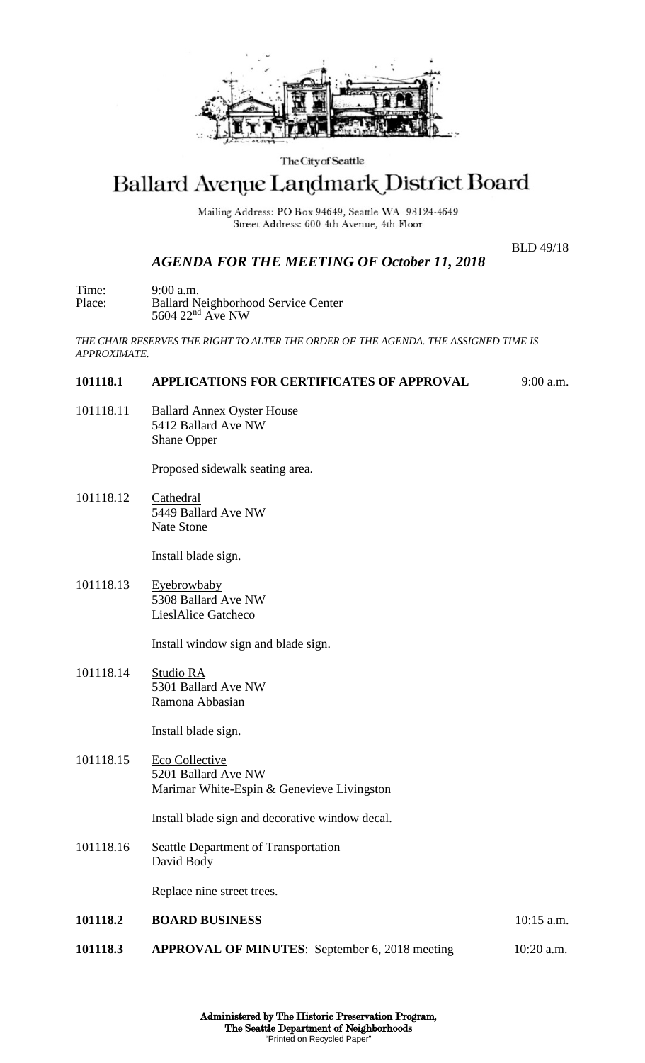

#### The City of Seattle

# Ballard Avenue Landmark District Board

Mailing Address: PO Box 94649, Seattle WA 98124-4649 Street Address: 600 4th Avenue, 4th Floor

BLD 49/18

## *AGENDA FOR THE MEETING OF October 11, 2018*

Time: 9:00 a.m.<br>Place: Ballard N Ballard Neighborhood Service Center 5604 22<sup>nd</sup> Ave NW

*THE CHAIR RESERVES THE RIGHT TO ALTER THE ORDER OF THE AGENDA. THE ASSIGNED TIME IS APPROXIMATE.*

## **101118.1 APPLICATIONS FOR CERTIFICATES OF APPROVAL** 9:00 a.m.

101118.11 Ballard Annex Oyster House 5412 Ballard Ave NW Shane Opper

Proposed sidewalk seating area.

101118.12 Cathedral 5449 Ballard Ave NW Nate Stone

Install blade sign.

101118.13 Eyebrowbaby 5308 Ballard Ave NW LieslAlice Gatcheco

Install window sign and blade sign.

101118.14 Studio RA 5301 Ballard Ave NW Ramona Abbasian

Install blade sign.

101118.15 Eco Collective 5201 Ballard Ave NW Marimar White-Espin & Genevieve Livingston

Install blade sign and decorative window decal.

101118.16 Seattle Department of Transportation David Body

Replace nine street trees.

**101118.2 BOARD BUSINESS** 10:15 a.m. **101118.3 APPROVAL OF MINUTES**: September 6, 2018 meeting 10:20 a.m.